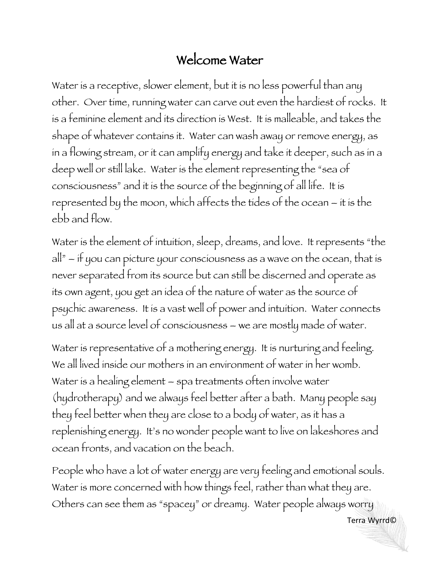## Welcome Water

Water is a receptive, slower element, but it is no less powerful than any other. Over time, running water can carve out even the hardiest of rocks. It is a feminine element and its direction is West. It is malleable, and takes the shape of whatever contains it. Water can wash away or remove energy, as in a flowing stream, or it can amplify energy and take it deeper, such as in a deep well or still lake. Water is the element representing the "sea of consciousness" and it is the source of the beginning of all life. It is represented by the moon, which affects the tides of the ocean – it is the ebb and flow.

Water is the element of intuition, sleep, dreams, and love. It represents "the all" – if you can picture your consciousness as a wave on the ocean, that is never separated from its source but can still be discerned and operate as its own agent, you get an idea of the nature of water as the source of psychic awareness. It is a vast well of power and intuition. Water connects us all at a source level of consciousness – we are mostly made of water.

Water is representative of a mothering energy. It is nurturing and feeling. We all lived inside our mothers in an environment of water in her womb. Water is a healing element – spa treatments often involve water (hydrotherapy) and we always feel better after a bath. Many people say they feel better when they are close to a body of water, as it has a replenishing energy. It's no wonder people want to live on lakeshores and ocean fronts, and vacation on the beach.

People who have a lot of water energy are very feeling and emotional souls. Water is more concerned with how things feel, rather than what they are. Others can see them as "spacey" or dreamy. Water people always worry